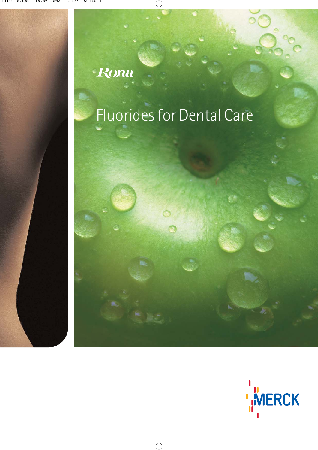## Rona

# Fluorides for Dental Care

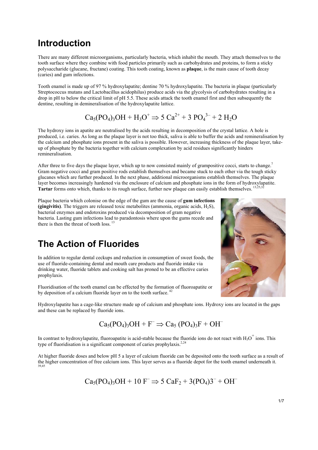## **Introduction**

There are many different microorganisms, particularly bacteria, which inhabit the mouth. They attach themselves to the tooth surface where they combine with food particles primarily such as carbohydrates and proteins, to form a sticky polysaccharide (glucane, fructane) coating. This tooth coating, known as **plaque**, is the main cause of tooth decay (caries) and gum infections.

Tooth enamel is made up of 97 % hydroxylapatite; dentine 70 % hydroxylapatite. The bacteria in plaque (particularly Streptococcus mutans and Lactobacillus acidophilus) produce acids via the glycolysis of carbohydrates resulting in a drop in pH to below the critical limit of pH 5.5. These acids attack the tooth enamel first and then subsequently the dentine, resulting in demineralisation of the hydroxylapatite lattice.

$$
Ca_5(PO_4)_3OH + H_3O^+ \Rightarrow 5 Ca^{2+} + 3 PO_4^{3-} + 2 H_2O
$$

The hydroxy ions in apatite are neutralised by the acids resulting in decomposition of the crystal lattice. A hole is produced, i.e. caries. As long as the plaque layer is not too thick, saliva is able to buffer the acids and remineralisation by the calcium and phosphate ions present in the saliva is possible. However, increasing thickness of the plaque layer, takeup of phosphate by the bacteria together with calcium complexation by acid residues significantly hinders remineralisation.

After three to five days the plaque layer, which up to now consisted mainly of grampositive cocci, starts to change.<sup>7</sup> Gram negative cocci and gram positive rods establish themselves and became stuck to each other via the tough sticky glucanes which are further produced. In the next phase, additional microorganisms establish themselves. The plaque layer becomes increasingly hardened via the enclosure of calcium and phosphate ions in the form of hydroxylapatite. **Tartar** forms onto which, thanks to its rough surface, further new plaque can easily establish themselves. <sup>13,25,32</sup>

Plaque bacteria which colonise on the edge of the gum are the cause of **gum infections (gingivitis)**. The triggers are released toxic metabolites (ammonia, organic acids, H<sub>2</sub>S), bacterial enzymes and endotoxins produced via decomposition of gram negative bacteria. Lasting gum infections lead to paradontosis where upon the gums recede and there is then the threat of tooth loss.<sup>1</sup>

## **The Action of Fluorides**

In addition to regular dental ceckups and reduction in consumption of sweet foods, the use of fluoride-containing dental and mouth care products and fluoride intake via drinking water, fluoride tablets and cooking salt has proned to be an effective caries prophylaxis.

Fluoridisation of the tooth enamel can be effected by the formation of fluoroapatite or by deposition of a calcium fluoride layer on to the tooth surface.  $42$ 



Hydroxylapatite has a cage-like structure made up of calcium and phosphate ions. Hydroxy ions are located in the gaps and these can be replaced by fluoride ions.

#### $Ca<sub>5</sub>(PO<sub>4</sub>)<sub>3</sub>OH + F<sup>-</sup> \Rightarrow Ca<sub>5</sub>(PO<sub>4</sub>)<sub>3</sub>F + OH<sup>-</sup>$

In contrast to hydroxylapatite, fluoroapatite is acid-stable because the fluoride ions do not react with  $H_3O^+$  ions. This type of fluoridisation is a significant component of caries prophylaxis.<sup>2,24</sup>

At higher fluoride doses and below pH 5 a layer of calcium fluoride can be deposited onto the tooth surface as a result of the higher concentration of free calcium ions. This layer serves as a fluoride depot for the tooth enamel underneath it. 39,45

 $Ca<sub>5</sub>(PO<sub>4</sub>)<sub>3</sub>OH + 10 F^- \Rightarrow 5 CaF<sub>2</sub> + 3(PO<sub>4</sub>)3<sup>-</sup> + OH<sup>-</sup>$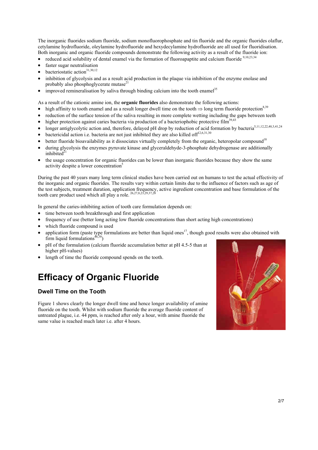The inorganic fluorides sodium fluoride, sodium monofluorophosphate and tin fluoride and the organic fluorides olaflur, cetylamine hydrofluoride, oleylamine hydrofluoride and hexydecylamine hydrofluoride are all used for fluoridisation. Both inorganic and organic fluoride compounds demonstrate the following activity as a result of the fluoride ion:

- reduced acid solubility of dental enamel via the formation of fluoroapaptite and calcium fluoride  $9,10,23,34$
- faster sugar neutralisation
- bacteriostatic action<sup>31,30,12</sup>
- inhibition of glycolysis and as a result acid production in the plaque via inhibition of the enzyme enolase and probably also phosphoglycerate mutase $^{21}$
- improved remineralisation by saliva through binding calcium into the tooth enamel<sup>35</sup>

As a result of the cationic amine ion, the **organic fluorides** also demonstrate the following actions:

- high affinity to tooth enamel and as a result longer dwell time on the tooth  $\Rightarrow$  long term fluoride protection<sup>8,39</sup>
- reduction of the surface tension of the saliva resulting in more complete wetting including the gaps between teeth
- higher protection against caries bacteria via production of a bacteriophobic protective film $^{39,43}$
- longer antiglycolytic action and, therefore, delayed pH drop by reduction of acid formation by bacteria<sup>5,11,12,22,40,3,41,24</sup>
- bactericidal action i.e. bacteria are not just inhibited they are also killed of  $f^{12,6,31,30}$
- $\bullet$  better fluoride bioavailability as it dissociates virtually completely from the organic, heteropolar compound<sup>18</sup>
- during glycolysis the enzymes pyruvate kinase and glyceraldehyde-3-phosphate dehydrogenase are additionally inhibited $2$
- the usage concentration for organic fluorides can be lower than inorganic fluorides because they show the same activity despite a lower concentration<sup>5</sup>

During the past 40 years many long term clinical studies have been carried out on humans to test the actual effectivity of the inorganic and organic fluorides. The results vary within certain limits due to the influence of factors such as age of the test subjects, treatment duration, application frequency, active ingredient concentration and base formulation of the tooth care product used which all play a role.  $^{26,27,8,23,29,37,28}$ 

In general the caries-inhibiting action of tooth care formulation depends on:

- time between tooth breakthrough and first application
- frequency of use (better long acting low fluoride concentrations than short acting high concentrations)
- which fluoride compound is used
- application form (paste type formulations are better than liquid ones<sup>17</sup>, though good results were also obtained with firm liquid formulations<sup>46,38</sup>)
- pH of the formulation (calcium fluoride accumulation better at pH 4.5-5 than at higher pH-values)
- length of time the fluoride compound spends on the tooth.

## **Efficacy of Organic Fluoride**

#### **Dwell Time on the Tooth**

Figure 1 shows clearly the longer dwell time and hence longer availability of amine fluoride on the tooth. Whilst with sodium fluoride the average fluoride content of untreated plague, i.e. 44 ppm, is reached after only a hour, with amine fluoride the same value is reached much later i.e. after 4 hours.

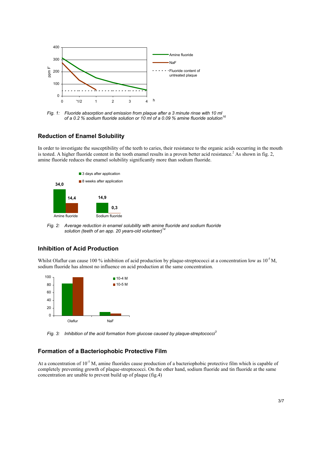

*Fig. 1: Fluoride absorption and emission from plaque after a 3 minute rinse with 10 ml of a 0.2 % sodium fluoride solution or 10 ml of a 0.09 % amine fluoride solution16* 

#### **Reduction of Enamel Solubility**

In order to investigate the susceptibility of the teeth to caries, their resistance to the organic acids occurring in the mouth is tested. A higher fluoride content in the tooth enamel results in a proven better acid resistance.<sup>2</sup> As shown in fig. 2, amine fluoride reduces the enamel solubility significantly more than sodium fluoride.



*Fig. 2: Average reduction in enamel solubility with amine fluoride and sodium fluoride solution (teeth of an app. 20 years-old volunteer) 14*

#### **Inhibition of Acid Production**

Whilst Olaflur can cause 100 % inhibition of acid production by plaque-streptococci at a concentration low as  $10^{-5}$  M, sodium fluoride has almost no influence on acid production at the same concentration.



*Fig. 3: Inhibition of the acid formation from glucose caused by plaque-streptococci<sup>3</sup>* 

#### **Formation of a Bacteriophobic Protective Film**

At a concentration of  $10^{-5}$  M, amine fluorides cause production of a bacteriophobic protective film which is capable of completely preventing growth of plaque-streptococci. On the other hand, sodium fluoride and tin fluoride at the same concentration are unable to prevent build up of plaque (fig.4)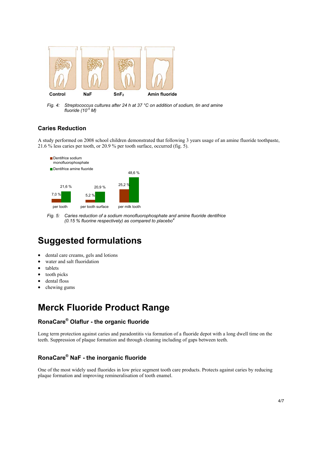

*Fig. 4: Streptococcus cultures after 24 h at 37 °C on addition of sodium, tin and amine fluoride (10-5 M)*

#### **Caries Reduction**

A study performed on 2008 school children demonstrated that following 3 years usage of an amine fluoride toothpaste, 21.6 % less caries per tooth, or 20.9 % per tooth surface, occurred (fig. 5).



*Fig. 5: Caries reduction of a sodium monofluorophosphate and amine fluoride dentifrice (0.15 % fluorine respectively) as compared to placebo<sup>4</sup>*

## **Suggested formulations**

- dental care creams, gels and lotions
- water and salt fluoridation
- tablets
- tooth picks
- dental floss
- chewing gums

## **Merck Fluoride Product Range**

#### **RonaCare® Olaflur - the organic fluoride**

Long term protection against caries and paradontitis via formation of a fluoride depot with a long dwell time on the teeth. Suppression of plaque formation and through cleaning including of gaps between teeth.

#### **RonaCare® NaF - the inorganic fluoride**

One of the most widely used fluorides in low price segment tooth care products. Protects against caries by reducing plaque formation and improving remineralisation of tooth enamel.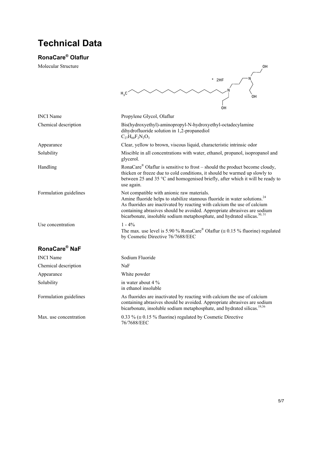## **Technical Data**

#### **RonaCare® Olaflur**

Molecular Structure

|                           | $*$ 2HF                                                                                                                                                                                                                                                                                                                                                                             |  |
|---------------------------|-------------------------------------------------------------------------------------------------------------------------------------------------------------------------------------------------------------------------------------------------------------------------------------------------------------------------------------------------------------------------------------|--|
|                           | $H_2C$<br>OH                                                                                                                                                                                                                                                                                                                                                                        |  |
|                           | OН                                                                                                                                                                                                                                                                                                                                                                                  |  |
| <b>INCI</b> Name          | Propylene Glycol, Olaflur                                                                                                                                                                                                                                                                                                                                                           |  |
| Chemical description      | Bis(hydroxyethyl)-aminopropyl-N-hydroxyethyl-octadecylamine<br>dihydrofluoride solution in 1,2-propanediol<br>$C_{27}H_{60}F_{2}N_{2}O_{3}$                                                                                                                                                                                                                                         |  |
| Appearance                | Clear, yellow to brown, viscous liquid, characteristic intrinsic odor                                                                                                                                                                                                                                                                                                               |  |
| Solubility                | Miscible in all concentrations with water, ethanol, propanol, isopropanol and<br>glycerol.                                                                                                                                                                                                                                                                                          |  |
| Handling                  | RonaCare <sup>®</sup> Olaflur is sensitive to frost – should the product become cloudy,<br>thicken or freeze due to cold conditions, it should be warmed up slowly to<br>between 25 and 35 °C and homogenised briefly, after which it will be ready to<br>use again.                                                                                                                |  |
| Formulation guidelines    | Not compatible with anionic raw materials.<br>Amine fluoride helps to stabilize stannous fluoride in water solutions. <sup>24</sup><br>As fluorides are inactivated by reacting with calcium the use of calcium<br>containing abrasives should be avoided. Appropriate abrasives are sodium<br>bicarbonate, insoluble sodium metaphosphate, and hydrated silicas. <sup>30, 31</sup> |  |
| Use concentration         | $1 - 4\%$<br>The max. use level is 5.90 % RonaCare <sup>®</sup> Olaflur ( $\approx$ 0.15 % fluorine) regulated<br>by Cosmetic Directive 76/7688/EEC                                                                                                                                                                                                                                 |  |
| RonaCare <sup>®</sup> NaF |                                                                                                                                                                                                                                                                                                                                                                                     |  |
| <b>INCI</b> Name          | Sodium Fluoride                                                                                                                                                                                                                                                                                                                                                                     |  |
| Chemical description      | NaF                                                                                                                                                                                                                                                                                                                                                                                 |  |
| Appearance                | White powder                                                                                                                                                                                                                                                                                                                                                                        |  |
| Solubility                | in water about 4 %<br>in ethanol insoluble                                                                                                                                                                                                                                                                                                                                          |  |
| Formulation guidelines    | As fluorides are inactivated by reacting with calcium the use of calcium<br>containing abrasives should be avoided. Appropriate abrasives are sodium<br>bicarbonate, insoluble sodium metaphosphate, and hydrated silicas. <sup>19,36</sup>                                                                                                                                         |  |

Max. use concentration 0.33 % ( $\approx$  0.15 % fluorine) regulated by Cosmetic Directive 76/7688/EEC

OH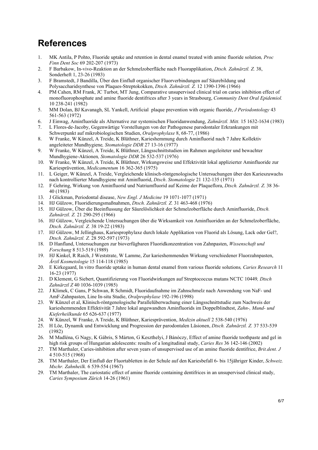## **References**

- 1. MK Antila, P Pohto, Fluoride uptake and retention in dental enamel treated with amine fluoride solution*, Proc Finn Dent Soc* 69 202-207 (1973)
- 2. F Barbakow, In-vivo-Reaktion an der Schmelzoberfläche nach Fluorapplikation, *Dtsch. Zahnärztl. Z.* 38, Sonderheft 1, 23-26 (1983)
- 3. F Bramstedt, J Bandilla, Über den Einfluß organischer Fluorverbindungen auf Säurebildung und Polysaccharidsynthese von Plaques-Streptokokken, *Dtsch. Zahnärztl. Z.* 12 1390-1396 (1966)
- 4. PM Cahen, RM Frank, JC Turbot, MT Jung, Comparative unsupervised clinical trial on caries inhibition effect of monofluorophosphate and amine fluoride dentifrices after 3 years in Strasbourg, *Community Dent Oral Epidemiol.*  10 238-241 (1982)
- 5. MM Dolan, BJ Kavanagh, SL Yankell, Artificial plaque prevention with organic fluoride, *J Periodontology* 43 561-563 (1972)
- 6. J Einwag, Aminfluoride als Alternative zur systemischen Fluoridanwendung, *Zahnärztl. Mitt.* 15 1632-1634 (1983)
- 7. L Flores-de-Jacoby, Gegenwärtige Vorstellungen von der Pathogenese parodontaler Erkrankungen mit Schwerpunkt auf mikrobiologischen Studien, *Oralprophylaxe* 8, 68-77, (1986)
- 8. W Franke, W Künzel, A Treide, K Blüthner, Karieshemmung durch Aminfluorid nach 7 Jahre Kollektiv angeleiteter Mundhygiene*, Stomatologie DDR* 27 13-16 (1977)
- 9. W Franke, W Künzel, A Treide, K Blüthner, Längsschnittstudien im Rahmen angeleiteter und bewachter Mundhygiene-Aktionen*, Stomatologie DDR* 26 532-537 (1976)
- 10. W Franke, W Künzel, A Treide, K Blüthner, Wirkungsweise und Effektivität lokal applizierter Aminfluoride zur Kariesprävention, *Medicamentum* 16 362-365 (1975)
- 11. L Geiger, W Künzel, A Treide, Vergleichende klinisch-röntgenologische Untersuchungen über den Karieszuwachs nach kontrollierter Mundhygiene mit Aminfluorid, *Dtsch*. *Stomatologie* 21 132-135 (1971)
- 12. F Gehring, Wirkung von Aminfluorid und Natriumfluorid auf Keime der Plaqueflora, *Dtsch. Zahnärztl. Z*. 38 36- 40 (1983)
- 13. J Glickman, Periodontal disease, *New Engl. J Medicine* 19 1071-1077 (1971)
- 14. HJ Gülzow, Fluoridierungsmaßnahmen, *Dtsch. Zahnärztl. Z.* 31 463-468 (1976)
- 15. HJ Gülzow, Über die Beeinflussung der Säurelöslichkeit der Schmelzoberfläche durch Aminfluoride, *Dtsch. Zahnärztl. Z.* 21 290-295 (1966)
- 16. HJ Gülzow, Vergleichende Untersuchungen über die Wirksamkeit von Aminfluoriden an der Schmelzoberfläche, *Dtsch. Zahnärztl. Z.* 38 19-22 (1983)
- 17. HJ Gülzow, M Jellinghaus, Kariesprophylaxe durch lokale Applikation von Fluorid als Lösung, Lack oder Gel?, *Dtsch. Zahnärztl. Z.* 28 592-597 (1973)
- 18. D Hanfland, Untersuchungen zur bioverfügbaren Fluoridkonzentration von Zahnpasten, *Wissenschaft und Forschung* 8 513-519 (1989)
- 19. HJ Kinkel, R Raich, J Weststrate, W Lamme, Zur karieshemmenden Wirkung verschiedener Fluorzahnpasten, *Ärztl Kosmetologie* 15 114-118 (1985)
- 20. E Kirkegaard, In vitro fluoride uptake in human dental enamel from various fluoride solutions*, Caries Research* 11 16-23 (1977)
- 21. D Klement, G Siebert, Quantifizierung von Fluoridwirkungen auf Streptococcus mutans NCTC 10449*, Dtsch Zahnärztl Z* 40 1036-1039 (1985)
- 22. J Klimek, C Gans, P Schwan, R Schmidt, Fluoridaufnahme im Zahnschmelz nach Anwendung von NaF- und AmF-Zahnpasten, Line In-situ Studie, *Oralprophylaxe* 192-196 (1998)
- 23. W Künzel et al, Klinisch-röntgenologische Parallelüberwachung einer Längsschnittstudie zum Nachweis der karieshemmenden Effektivität 7 Jahre lokal angewandten Aminfluorids im Doppelblindtest, *Zahn-, Mund- und Kieferheilkunde* 65 626-637 (1977)
- 24. W Künzel, W Franke, A Treide, K Blüthner, Kariesprävention, *Medizin aktuell* 2 538-540 (1976)
- 25. H Löe, Dynamik und Entwicklung und Progression der parodontalen Läsionen, *Dtsch. Zahnärztl. Z.* 37 533-539 (1982)
- 26. M Madléna, G Nagy, K Gábris, S Márton, G Keszthelyi, J Bánóczy, Effect of amine fluoride toothpaste and gel in high risk groups of Hungarian adolescents: results of a longitudinal study, *Caries Res* 36 142-146 (2002)
- 27. TM Marthaler, Caries-inhibition after seven years of unsupervised use of an amine fluoride dentifrice, *Brit.dent. J* 4 510-515 (1968)
- 28. TM Marthaler, Der Einfluß der Fluortabletten in der Schule auf den Kariesbefall 6- bis 15jähriger Kinder, *Schweiz. Mschr. Zahnheilk.* 6 539-554 (1967)
- 29. TM Marthaler, The cariostatic effect of amine fluoride containing dentifrices in an unsupervised clinical study, *Caries Symposium Zürich* 14-26 (1961)